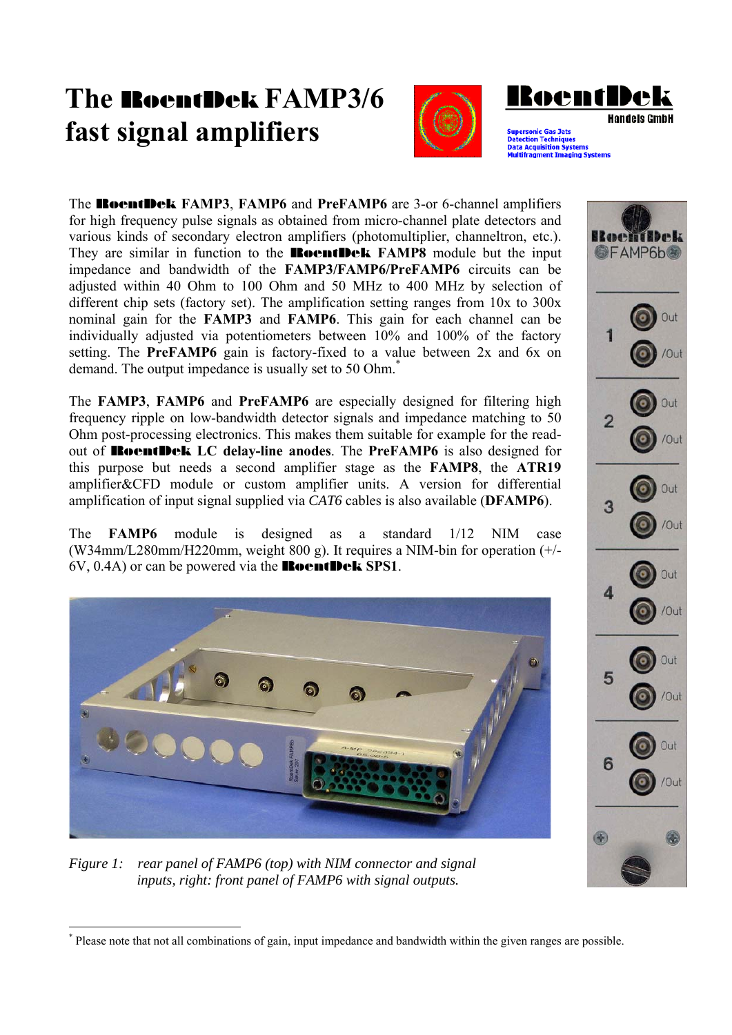## **The** RoentDek **FAMP3/6 fast signal amplifiers**





The RoentDek **FAMP3**, **FAMP6** and **PreFAMP6** are 3-or 6-channel amplifiers for high frequency pulse signals as obtained from micro-channel plate detectors and various kinds of secondary electron amplifiers (photomultiplier, channeltron, etc.). They are similar in function to the RoentDek **FAMP8** module but the input impedance and bandwidth of the **FAMP3/FAMP6/PreFAMP6** circuits can be adjusted within 40 Ohm to 100 Ohm and 50 MHz to 400 MHz by selection of different chip sets (factory set). The amplification setting ranges from 10x to 300x nominal gain for the **FAMP3** and **FAMP6**. This gain for each channel can be individually adjusted via potentiometers between 10% and 100% of the factory setting. The **PreFAMP6** gain is factory-fixed to a value between 2x and 6x on demand. The output impedance is usually set to 50 Ohm.<sup>\*</sup>

The **FAMP3**, **FAMP6** and **PreFAMP6** are especially designed for filtering high frequency ripple on low-bandwidth detector signals and impedance matching to 50 Ohm post-processing electronics. This makes them suitable for example for the readout of RoentDek **LC delay-line anodes**. The **PreFAMP6** is also designed for this purpose but needs a second amplifier stage as the **FAMP8**, the **ATR19** amplifier&CFD module or custom amplifier units. A version for differential amplification of input signal supplied via *CAT6* cables is also available (**DFAMP6**).

The **FAMP6** module is designed as a standard 1/12 NIM case (W34mm/L280mm/H220mm, weight 800 g). It requires a NIM-bin for operation (+/- 6V, 0.4A) or can be powered via the RoentDek **SPS1**.



*Figure 1: rear panel of FAMP6 (top) with NIM connector and signal inputs, right: front panel of FAMP6 with signal outputs.* 



<sup>\*</sup> Please note that not all combinations of gain, input impedance and bandwidth within the given ranges are possible.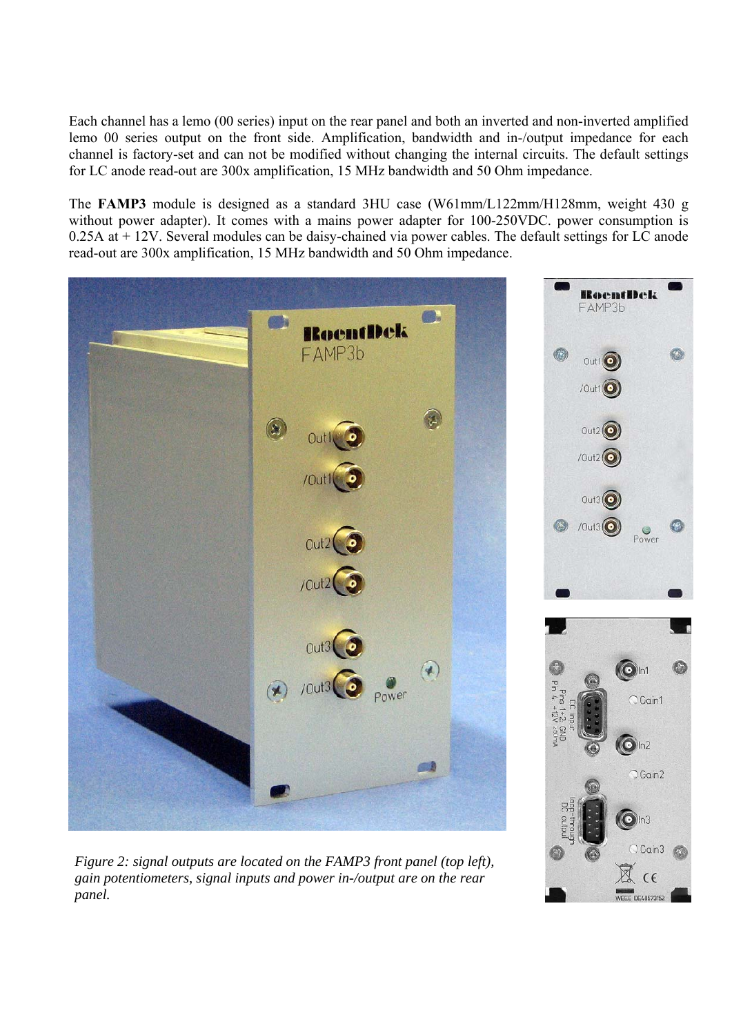Each channel has a lemo (00 series) input on the rear panel and both an inverted and non-inverted amplified lemo 00 series output on the front side. Amplification, bandwidth and in-/output impedance for each channel is factory-set and can not be modified without changing the internal circuits. The default settings for LC anode read-out are 300x amplification, 15 MHz bandwidth and 50 Ohm impedance.

The **FAMP3** module is designed as a standard 3HU case (W61mm/L122mm/H128mm, weight 430 g without power adapter). It comes with a mains power adapter for 100-250VDC. power consumption is 0.25A at + 12V. Several modules can be daisy-chained via power cables. The default settings for LC anode read-out are 300x amplification, 15 MHz bandwidth and 50 Ohm impedance.



 $\epsilon$ EEE DE48573152

*Figure 2: signal outputs are located on the FAMP3 front panel (top left), gain potentiometers, signal inputs and power in-/output are on the rear panel.*